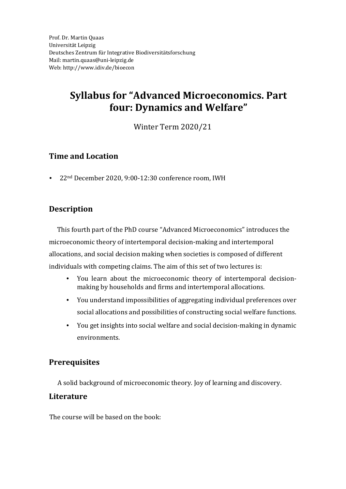# **Syllabus for "Advanced Microeconomics. Part four: Dynamics and Welfare"**

Winter Term 2020/21

### **Time and Location**

• 22nd December 2020, 9:00-12:30 conference room, IWH

## **Description**

This fourth part of the PhD course "Advanced Microeconomics" introduces the microeconomic theory of intertemporal decision-making and intertemporal allocations, and social decision making when societies is composed of different individuals with competing claims. The aim of this set of two lectures is:

- You learn about the microeconomic theory of intertemporal decisionmaking by households and firms and intertemporal allocations.
- You understand impossibilities of aggregating individual preferences over social allocations and possibilities of constructing social welfare functions.
- You get insights into social welfare and social decision-making in dynamic environments.

## **Prerequisites**

A solid background of microeconomic theory. Joy of learning and discovery.

#### **Literature**

The course will be based on the book: